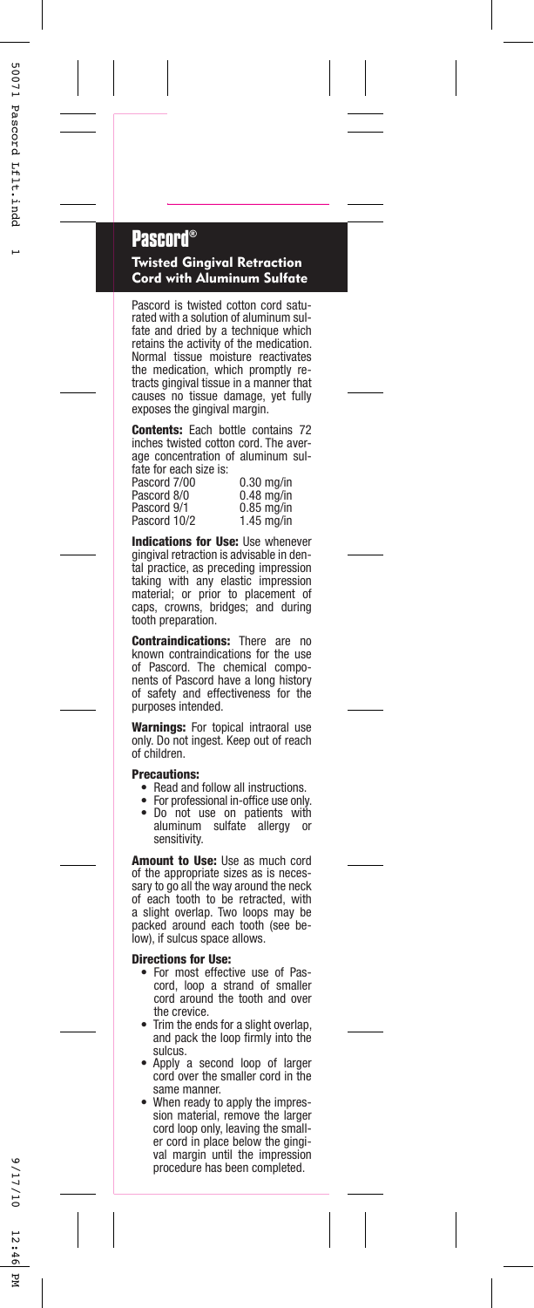## **Pascord®**

## Twisted Gingival Retraction Cord with Aluminum Sulfate

Pascord is twisted cotton cord saturated with a solution of aluminum sulfate and dried by a technique which retains the activity of the medication. Normal tissue moisture reactivates the medication, which promptly retracts gingival tissue in a manner that causes no tissue damage, yet fully exposes the gingival margin.

Contents: Each bottle contains 72 inches twisted cotton cord. The average concentration of aluminum sulfate for each size is:

Pascord 7/00Pascord 8/0Pascord 9/1Pascord 10/2  0.30 mg/in 0.48 mg/in 0.85 mg/in 1.45 mg/in

Indications for Use: Use whenever gingival retraction is advisable in dental practice, as preceding impression taking with any elastic impression material; or prior to placement of caps, crowns, bridges; and during tooth preparation.

**Contraindications:** There are no<br>known contraindications for the use<br>of Pascord. The chemical components of Pascord have a long history of safety and effectiveness for the purposes intended.

Warnings: For topical intraoral use only. Do not ingest. Keep out of reach of children.

## Precautions:

- Read and follow all instructions.
- • For professional in-office use only. •Do not use on patients with aluminum sulfate allergy or sulfate allergy or sensitivity.

Amount to Use: Use as much cord of the appropriate sizes as is necessary to go all the way around the neck of each tooth to be retracted, with a slight overlap. Two loops may be packed around each tooth (see below), if sulcus space allows.

## Directions for Use:

- For most effective use of Pas-cord, loop a strand of smaller cord around the tooth and over •the crevice.
- Trim the ends for a slight overlap, •and pack the loop firmly into the sulcus.
- Apply a second loop of larger •cord over the smaller cord in the same manner.
- When ready to apply the impres-•sion material, remove the larger cord loop only, leaving the smaller cord in place below the gingival margin until the impression procedure has been completed.